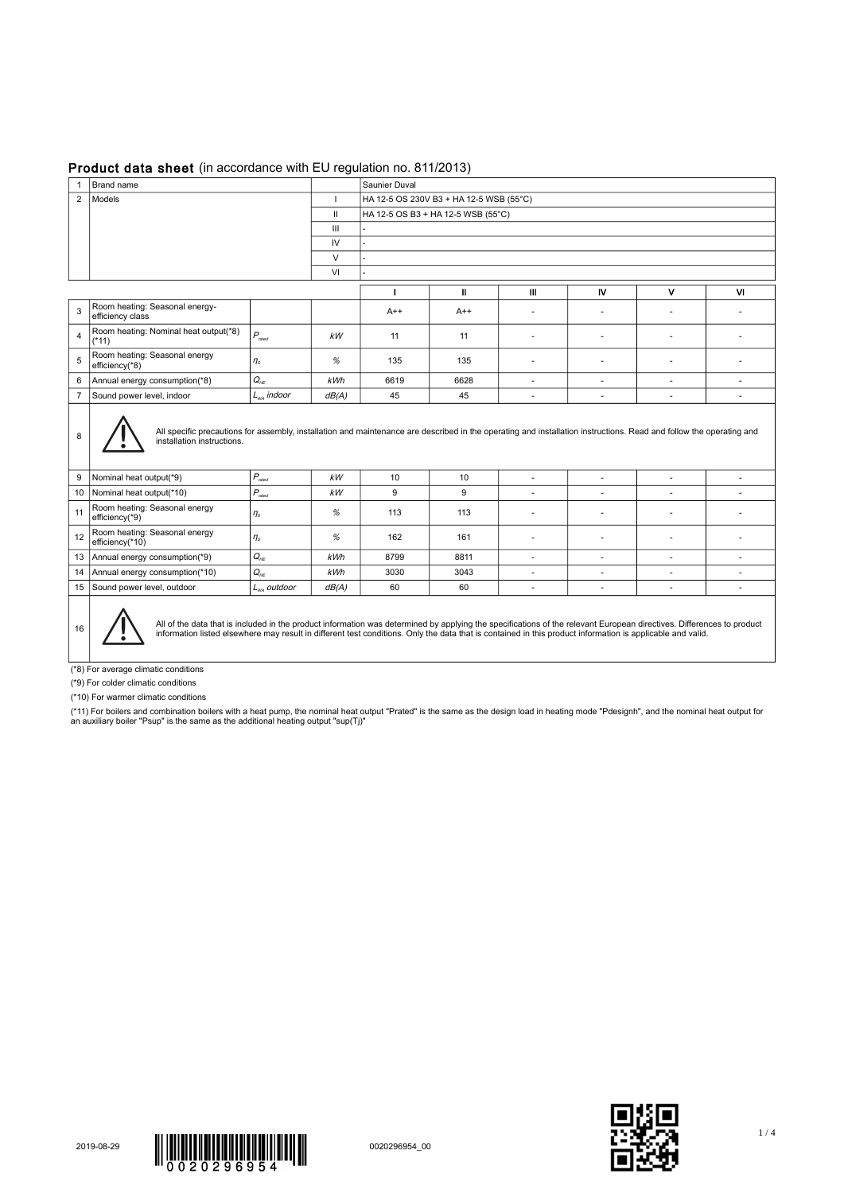## Product data sheet (in accordance with EU regulation no. 811/2013)

| 1              | Brand name                                                                                                                                                                                                                                                                                                                          |                                    |       | Saunier Duval                           |       |                          |                          |                          |           |  |  |  |
|----------------|-------------------------------------------------------------------------------------------------------------------------------------------------------------------------------------------------------------------------------------------------------------------------------------------------------------------------------------|------------------------------------|-------|-----------------------------------------|-------|--------------------------|--------------------------|--------------------------|-----------|--|--|--|
|                | 2   Models                                                                                                                                                                                                                                                                                                                          |                                    |       | HA 12-5 OS 230V B3 + HA 12-5 WSB (55°C) |       |                          |                          |                          |           |  |  |  |
|                |                                                                                                                                                                                                                                                                                                                                     | HA 12-5 OS B3 + HA 12-5 WSB (55°C) |       |                                         |       |                          |                          |                          |           |  |  |  |
|                | $\mathbf{III}$                                                                                                                                                                                                                                                                                                                      |                                    |       |                                         |       |                          |                          |                          |           |  |  |  |
|                |                                                                                                                                                                                                                                                                                                                                     |                                    | IV    |                                         |       |                          |                          |                          |           |  |  |  |
|                | $\vee$<br>VI                                                                                                                                                                                                                                                                                                                        |                                    |       |                                         |       |                          |                          |                          |           |  |  |  |
|                |                                                                                                                                                                                                                                                                                                                                     |                                    |       |                                         |       |                          |                          |                          |           |  |  |  |
|                |                                                                                                                                                                                                                                                                                                                                     |                                    |       |                                         | Ш     | Ш                        | IV                       | $\mathbf v$              | <b>VI</b> |  |  |  |
| 3              | Room heating: Seasonal energy-<br>efficiency class                                                                                                                                                                                                                                                                                  |                                    |       | $A++$                                   | $A++$ | $\sim$                   | ÷,                       |                          |           |  |  |  |
| $\overline{4}$ | Room heating: Nominal heat output(*8)<br>$(*11)$                                                                                                                                                                                                                                                                                    | $P_{\tiny \textrm{rated}}$         | kW    | 11                                      | 11    | $\sim$                   | $\overline{\phantom{a}}$ |                          | ٠         |  |  |  |
| 5              | Room heating: Seasonal energy<br>efficiency(*8)                                                                                                                                                                                                                                                                                     | $\eta_s$                           | %     | 135                                     | 135   | $\sim$                   | ٠                        |                          | ÷         |  |  |  |
| 6              | Annual energy consumption(*8)                                                                                                                                                                                                                                                                                                       | $Q_{HE}$                           | kWh   | 6619                                    | 6628  | $\overline{\phantom{a}}$ | $\overline{a}$           | $\sim$                   | ٠         |  |  |  |
| $\overline{7}$ | Sound power level, indoor                                                                                                                                                                                                                                                                                                           | $L_{wa}$ indoor                    | dB(A) | 45                                      | 45    | $\sim$                   | $\overline{\phantom{a}}$ | $\overline{\phantom{a}}$ | ٠         |  |  |  |
| 8              | All specific precautions for assembly, installation and maintenance are described in the operating and installation instructions. Read and follow the operating and<br>installation instructions.                                                                                                                                   |                                    |       |                                         |       |                          |                          |                          |           |  |  |  |
| 9              | Nominal heat output(*9)                                                                                                                                                                                                                                                                                                             | $P_{\text{rated}}$                 | kW    | 10                                      | 10    | ×.                       | ÷,                       |                          | ÷         |  |  |  |
|                | 10   Nominal heat output(*10)                                                                                                                                                                                                                                                                                                       | $P_{\text{rated}}$                 | kW    | 9                                       | 9     | $\sim$                   | $\overline{\phantom{a}}$ |                          | ٠         |  |  |  |
| 11             | Room heating: Seasonal energy<br>efficiency(*9)                                                                                                                                                                                                                                                                                     | $\eta_s$                           | %     | 113                                     | 113   | $\sim$                   | $\overline{\phantom{a}}$ | $\sim$                   | ÷         |  |  |  |
| 12             | Room heating: Seasonal energy<br>efficiency(*10)                                                                                                                                                                                                                                                                                    | $\eta_s$                           | %     | 162                                     | 161   | $\sim$                   | ٠                        |                          | ٠         |  |  |  |
|                | 13   Annual energy consumption(*9)                                                                                                                                                                                                                                                                                                  | $Q_{HE}$                           | kWh   | 8799                                    | 8811  | ×.                       | ä,                       | $\sim$                   | ٠         |  |  |  |
|                | 14   Annual energy consumption(*10)                                                                                                                                                                                                                                                                                                 | $Q_{HE}$                           | kWh   | 3030                                    | 3043  | $\sim$                   | $\overline{\phantom{a}}$ | $\overline{\phantom{a}}$ | ÷         |  |  |  |
|                | 15 Sound power level, outdoor                                                                                                                                                                                                                                                                                                       | $L_{wa}$ outdoor                   | dB(A) | 60                                      | 60    | $\sim$                   | ÷.                       | $\sim$                   | ٠         |  |  |  |
| 16             | All of the data that is included in the product information was determined by applying the specifications of the relevant European directives. Differences to product<br>information listed elsewhere may result in different test conditions. Only the data that is contained in this product information is applicable and valid. |                                    |       |                                         |       |                          |                          |                          |           |  |  |  |

(\*8) For average climatic conditions

(\*9) For colder climatic conditions

(\*10) For warmer climatic conditions

(\*11) For boilers and combination boilers with a heat pump, the nominal heat output "Prated" is the same as the design load in heating mode "Pdesignh", and the nominal heat output for<br>an auxiliary boiler "Psup" is the sam



1 / 4

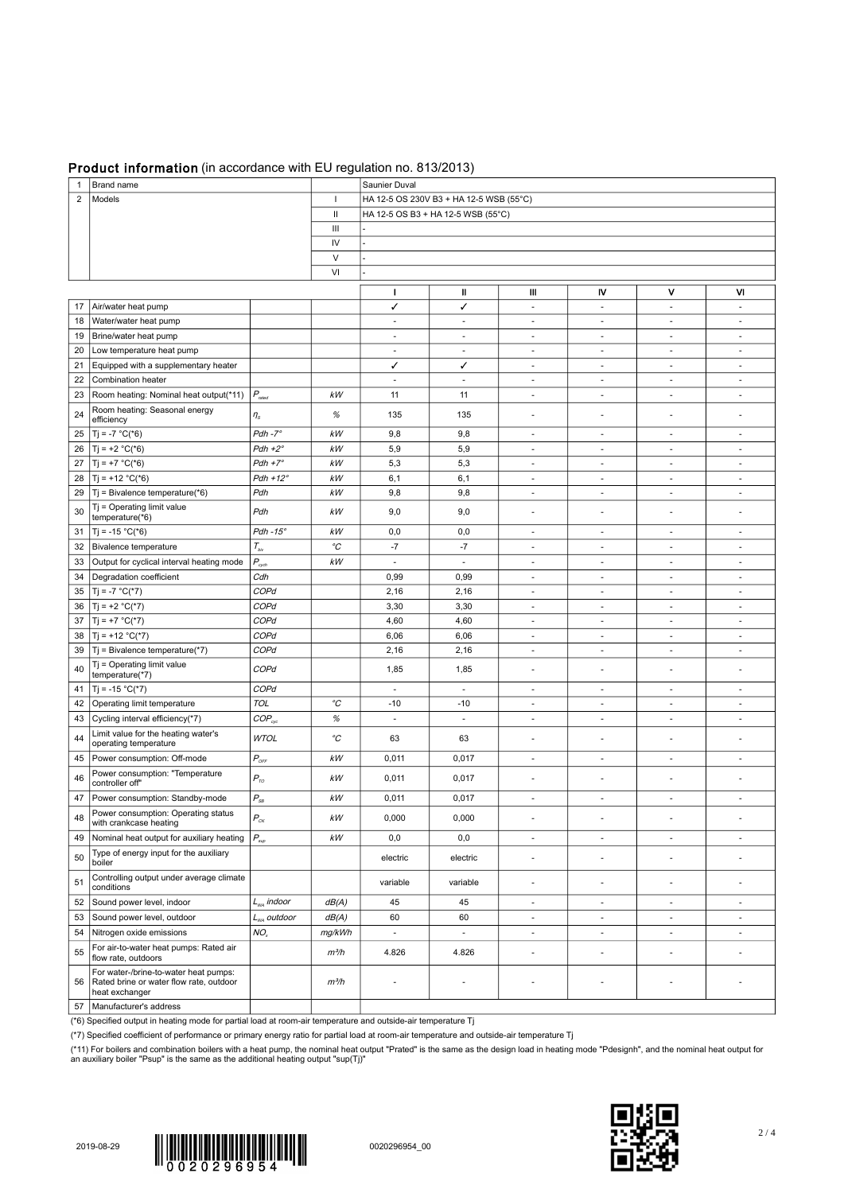## Product information (in accordance with EU regulation no. 813/2013)

| 1              | Brand name                                                                                         |                                    |                   | Saunier Duval                           |                          |                          |                          |                          |                          |  |  |
|----------------|----------------------------------------------------------------------------------------------------|------------------------------------|-------------------|-----------------------------------------|--------------------------|--------------------------|--------------------------|--------------------------|--------------------------|--|--|
| $\overline{2}$ | Models                                                                                             |                                    |                   | HA 12-5 OS 230V B3 + HA 12-5 WSB (55°C) |                          |                          |                          |                          |                          |  |  |
|                |                                                                                                    |                                    |                   | HA 12-5 OS B3 + HA 12-5 WSB (55°C)      |                          |                          |                          |                          |                          |  |  |
|                |                                                                                                    |                                    | $\mathbf{H}$<br>Ш |                                         |                          |                          |                          |                          |                          |  |  |
|                |                                                                                                    |                                    | IV                |                                         |                          |                          |                          |                          |                          |  |  |
|                |                                                                                                    |                                    | V                 |                                         |                          |                          |                          |                          |                          |  |  |
|                |                                                                                                    |                                    | VI                |                                         |                          |                          |                          |                          |                          |  |  |
|                |                                                                                                    |                                    |                   |                                         |                          |                          |                          |                          |                          |  |  |
|                |                                                                                                    |                                    |                   | $\mathbf{I}$                            | Ш                        | Ш                        | IV                       | v                        | M                        |  |  |
| 17             | Air/water heat pump                                                                                |                                    |                   | ✓                                       | ✓                        | $\overline{\phantom{a}}$ | $\overline{\phantom{a}}$ | $\overline{\phantom{a}}$ | $\sim$                   |  |  |
| 18             | Water/water heat pump                                                                              |                                    |                   | $\overline{\phantom{a}}$                | $\overline{\phantom{a}}$ | $\overline{\phantom{a}}$ | $\overline{\phantom{a}}$ | $\overline{\phantom{a}}$ | $\sim$                   |  |  |
| 19             | Brine/water heat pump                                                                              |                                    |                   | ٠                                       | $\sim$                   | $\sim$                   | $\sim$                   | $\sim$                   | $\sim$                   |  |  |
| 20             | Low temperature heat pump                                                                          |                                    |                   | ×.                                      | $\sim$                   | $\sim$                   | ÷.                       | ٠                        | $\sim$                   |  |  |
| 21             | Equipped with a supplementary heater                                                               |                                    |                   | ✓                                       | ✓                        | $\sim$                   | $\overline{\phantom{a}}$ | $\overline{\phantom{a}}$ | $\sim$                   |  |  |
| 22             | Combination heater                                                                                 |                                    |                   | ä,                                      | $\blacksquare$           | ÷.                       | ×,                       | $\overline{\phantom{a}}$ | $\sim$                   |  |  |
| 23             | Room heating: Nominal heat output(*11)                                                             | $P_{\tiny{rated}}$                 | kW                | 11                                      | 11                       | ÷.                       | ä,                       | ÷.                       | $\sim$                   |  |  |
| 24             | Room heating: Seasonal energy<br>efficiency                                                        | $\eta_s$                           | $\%$              | 135                                     | 135                      | $\overline{a}$           | $\overline{a}$           | ٠                        |                          |  |  |
| 25             | $T_1 = -7 °C(*6)$                                                                                  | $Pdh - 7^\circ$                    | kW                | 9,8                                     | 9,8                      | $\sim$                   | $\overline{\phantom{a}}$ | $\overline{\phantom{a}}$ | $\sim$                   |  |  |
| 26             | $T_i = +2 °C(*6)$                                                                                  | $Pdh + 2^{\circ}$                  | kW                | 5,9                                     | 5,9                      | ٠                        | $\sim$                   | $\sim$                   | $\sim$                   |  |  |
| 27             | $T_1 = +7 °C(*6)$                                                                                  | $Pdh + 7^\circ$                    | kW                | 5,3                                     | 5,3                      | $\sim$                   | $\sim$                   | $\sim$                   | $\sim$                   |  |  |
| 28             | $T_1 = +12 °C(*6)$                                                                                 | $Pdh + 12^{\circ}$                 | kW                | 6,1                                     | 6,1                      | $\sim$                   | ٠                        | ٠                        | $\overline{\phantom{a}}$ |  |  |
| 29             | $Tj$ = Bivalence temperature(*6)                                                                   | Pdh                                | kW                | 9,8                                     | 9,8                      | ٠                        | $\sim$                   | $\sim$                   | $\sim$                   |  |  |
| 30             | $Tj = Operating$ limit value<br>temperature(*6)                                                    | Pdh                                | kW                | 9,0                                     | 9,0                      | ٠                        | ٠                        | ٠                        |                          |  |  |
|                | $T = -15 °C(*6)$                                                                                   |                                    | kW                |                                         |                          | $\sim$                   | $\sim$                   | $\sim$                   | $\sim$                   |  |  |
| 31             |                                                                                                    | $Pdh - 15^\circ$                   |                   | 0,0                                     | 0,0                      |                          |                          |                          |                          |  |  |
| 32             | Bivalence temperature                                                                              | $T_{\scriptscriptstyle{b\bar{b}}}$ | $^o\!C$           | $-7$                                    | $-7$                     | $\overline{\phantom{a}}$ | $\overline{\phantom{a}}$ | $\overline{\phantom{a}}$ |                          |  |  |
| 33             | Output for cyclical interval heating mode                                                          | $P_{\rm \scriptscriptstyle cyclh}$ | kW                | $\overline{\phantom{a}}$                | $\overline{\phantom{a}}$ | $\overline{\phantom{a}}$ | $\overline{\phantom{a}}$ | $\overline{\phantom{a}}$ | $\sim$                   |  |  |
| 34             | Degradation coefficient                                                                            | Cdh                                |                   | 0,99                                    | 0,99                     | $\overline{\phantom{a}}$ | $\overline{\phantom{a}}$ | $\overline{\phantom{a}}$ | $\overline{\phantom{a}}$ |  |  |
| 35             | $Tj = -7 °C(*7)$                                                                                   | COPd                               |                   | 2,16                                    | 2,16                     | ÷.                       | ×,                       | $\sim$                   | $\sim$                   |  |  |
| 36             | $T_1 = +2 °C(*7)$                                                                                  | COPd                               |                   | 3,30                                    | 3,30                     | $\sim$                   | $\sim$                   | $\sim$                   | $\sim$                   |  |  |
| 37             | $T_1 = +7 °C(*7)$                                                                                  | COPd                               |                   | 4,60                                    | 4,60                     | $\sim$                   | $\sim$                   | $\overline{\phantom{a}}$ | $\sim$                   |  |  |
| 38             | $Tj = +12 °C(*7)$                                                                                  | COPd                               |                   | 6,06                                    | 6,06                     | $\overline{\phantom{a}}$ | $\sim$                   | $\sim$                   | $\sim$                   |  |  |
| 39             | $Tj$ = Bivalence temperature(*7)                                                                   | COPd                               |                   | 2,16                                    | 2,16                     | $\sim$                   | ٠                        | $\sim$                   | $\sim$                   |  |  |
| 40             | Tj = Operating limit value<br>temperature(*7)                                                      | COPd                               |                   | 1,85                                    | 1,85                     | $\overline{\phantom{a}}$ | $\overline{\phantom{a}}$ | $\sim$                   |                          |  |  |
| 41             | $T_i = -15 °C(*7)$                                                                                 | COPd                               |                   | $\overline{\phantom{a}}$                | $\overline{\phantom{a}}$ | $\overline{\phantom{a}}$ | $\overline{\phantom{a}}$ | $\overline{\phantom{a}}$ | $\sim$                   |  |  |
| 42             | Operating limit temperature                                                                        | <b>TOL</b>                         | $^{\circ}C$       | $-10$                                   | $-10$                    | $\overline{\phantom{a}}$ | $\overline{\phantom{a}}$ | $\overline{\phantom{a}}$ | $\sim$                   |  |  |
| 43             | Cycling interval efficiency(*7)                                                                    | $COP_{cyc}$                        | $\%$              | $\sim$                                  | $\sim$                   | $\sim$                   | $\sim$                   | $\sim$                   | $\sim$                   |  |  |
| 44             | Limit value for the heating water's<br>operating temperature                                       | <b>WTOL</b>                        | $^{\circ}C$       | 63                                      | 63                       | $\overline{\phantom{a}}$ | ÷,                       | $\overline{\phantom{a}}$ | $\overline{\phantom{a}}$ |  |  |
| 45             | Power consumption: Off-mode                                                                        | $P_{\text{OFF}}$                   | kW                | 0,011                                   | 0,017                    | $\sim$                   | $\sim$                   | $\sim$                   | $\sim$                   |  |  |
| 46             | Power consumption: "Temperature<br>controller off"                                                 | $P_{\tau o}$                       | $kW$              | 0,011                                   | 0,017                    | ٠                        | ٠                        | ٠                        |                          |  |  |
| 47             | Power consumption: Standby-mode                                                                    | $P_{\rm SB}$                       | kW                | 0,011                                   | 0,017                    | ÷.                       | ä,                       | ÷.                       | ×.                       |  |  |
| 48             | Power consumption: Operating status<br>with crankcase heating                                      | $P_{\rm{cx}}$                      | $kW$              | 0,000                                   | 0,000                    | $\sim$                   | $\overline{\phantom{a}}$ | $\sim$                   |                          |  |  |
| 49             | Nominal heat output for auxiliary heating                                                          | $P_{\scriptscriptstyle sup}$       | $kW$              | 0,0                                     | 0,0                      | $\overline{\phantom{a}}$ | ÷,                       | $\overline{\phantom{a}}$ | $\overline{\phantom{a}}$ |  |  |
|                | Type of energy input for the auxiliary                                                             |                                    |                   |                                         |                          |                          |                          |                          |                          |  |  |
| 50             | boiler<br>Controlling output under average climate                                                 |                                    |                   | electric                                | electric                 | $\overline{\phantom{a}}$ | ÷,                       | ÷,                       |                          |  |  |
| 51             | conditions                                                                                         |                                    |                   | variable                                | variable                 | $\overline{\phantom{a}}$ | ÷,                       | ٠                        |                          |  |  |
| 52             | Sound power level, indoor                                                                          | $L_{\text{wa}}$ indoor             | dB(A)             | 45                                      | 45                       | $\sim$                   | $\overline{\phantom{a}}$ | $\overline{\phantom{a}}$ | $\overline{\phantom{a}}$ |  |  |
| 53             | Sound power level, outdoor                                                                         | $L_{wa}$ outdoor                   | dB(A)             | 60                                      | 60                       | $\sim$                   | $\overline{\phantom{a}}$ | $\overline{\phantom{a}}$ | $\sim$                   |  |  |
| 54             | Nitrogen oxide emissions                                                                           | NO <sub>x</sub>                    | mg/kWh            | $\overline{\phantom{a}}$                | ÷,                       | ÷.                       | $\sim$                   | ÷                        | $\sim$                   |  |  |
| 55             | For air-to-water heat pumps: Rated air<br>flow rate, outdoors                                      |                                    | $m^3/h$           | 4.826                                   | 4.826                    | $\overline{\phantom{a}}$ | ÷,                       | ÷,                       |                          |  |  |
| 56             | For water-/brine-to-water heat pumps:<br>Rated brine or water flow rate, outdoor<br>heat exchanger |                                    | $m^3/h$           | ÷,                                      |                          | ٠                        | $\overline{\phantom{a}}$ | $\overline{a}$           |                          |  |  |
|                | 57   Manufacturer's address                                                                        |                                    |                   |                                         |                          |                          |                          |                          |                          |  |  |

(\*6) Specified output in heating mode for partial load at room-air temperature and outside-air temperature Tj

(\*7) Specified coefficient of performance or primary energy ratio for partial load at room-air temperature and outside-air temperature Tj

(\*11) For boilers and combination boilers with a heat pump, the nominal heat output "Prated" is the same as the design load in heating mode "Pdesignh", and the nominal heat output for<br>an auxiliary boiler "Psup" is the sam



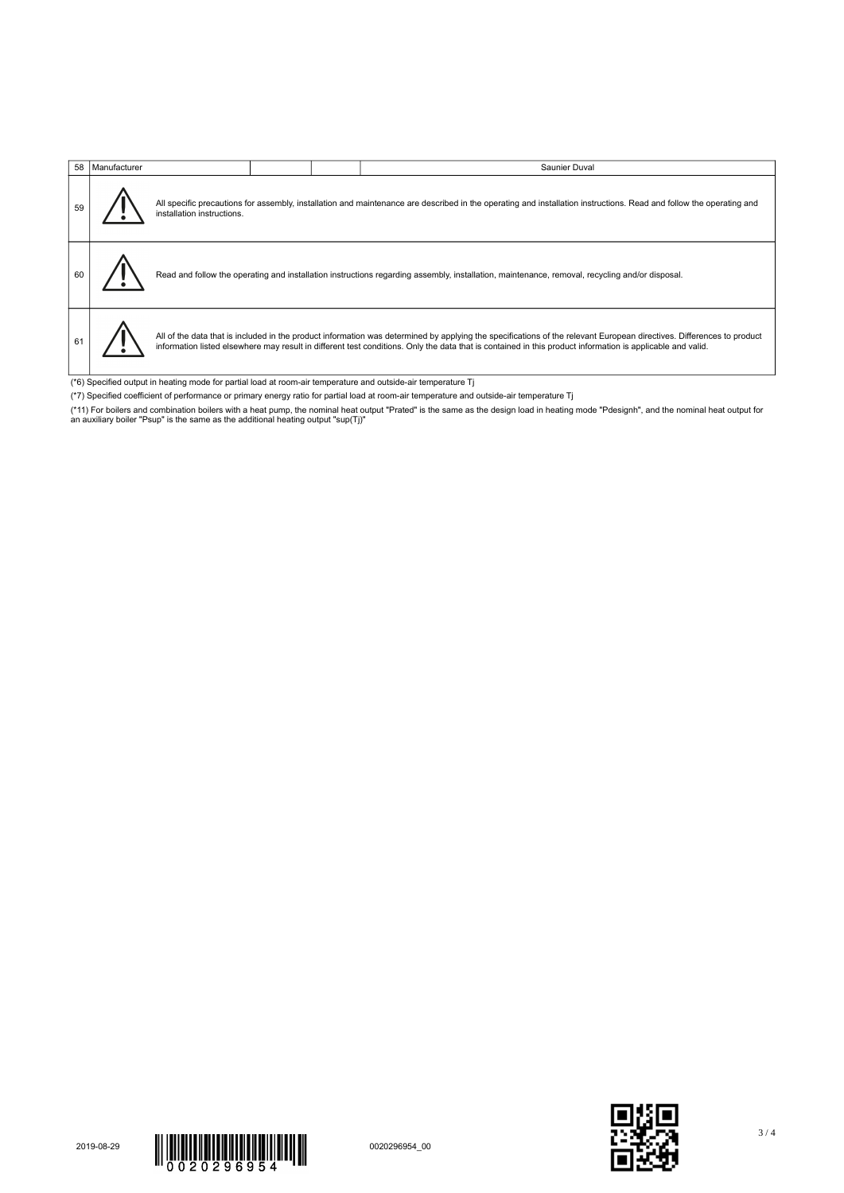|                                                                                                               | 58   Manufacturer |                            |                                                                                                                                                                     |  | Saunier Duval                                                                                                                                                                                                                                                                                                                       |  |  |  |
|---------------------------------------------------------------------------------------------------------------|-------------------|----------------------------|---------------------------------------------------------------------------------------------------------------------------------------------------------------------|--|-------------------------------------------------------------------------------------------------------------------------------------------------------------------------------------------------------------------------------------------------------------------------------------------------------------------------------------|--|--|--|
|                                                                                                               |                   | installation instructions. | All specific precautions for assembly, installation and maintenance are described in the operating and installation instructions. Read and follow the operating and |  |                                                                                                                                                                                                                                                                                                                                     |  |  |  |
|                                                                                                               |                   |                            |                                                                                                                                                                     |  | Read and follow the operating and installation instructions regarding assembly, installation, maintenance, removal, recycling and/or disposal.                                                                                                                                                                                      |  |  |  |
|                                                                                                               |                   |                            |                                                                                                                                                                     |  | All of the data that is included in the product information was determined by applying the specifications of the relevant European directives. Differences to product<br>information listed elsewhere may result in different test conditions. Only the data that is contained in this product information is applicable and valid. |  |  |  |
| (*6) Specified output in heating mode for partial load at room-air temperature and outside-air temperature Tj |                   |                            |                                                                                                                                                                     |  |                                                                                                                                                                                                                                                                                                                                     |  |  |  |

- 
- (\*7) Specified coefficient of performance or primary energy ratio for partial load at room-air temperature and outside-air temperature Tj
- (\*11) For boilers and combination boilers with a heat pump, the nominal heat output "Prated" is the same as the design load in heating mode "Pdesignh", and the nominal heat output for<br>an auxiliary boiler "Psup" is the sam



3 / 4